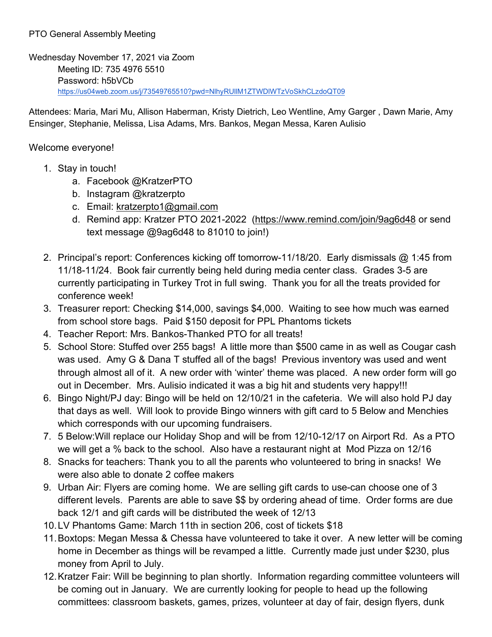## PTO General Assembly Meeting

Wednesday November 17, 2021 via Zoom Meeting ID: 735 4976 5510 Password: h5bVCb <https://us04web.zoom.us/j/73549765510?pwd=NlhyRUllM1ZTWDlWTzVoSkhCLzdoQT09>

Attendees: Maria, Mari Mu, Allison Haberman, Kristy Dietrich, Leo Wentline, Amy Garger , Dawn Marie, Amy Ensinger, Stephanie, Melissa, Lisa Adams, Mrs. Bankos, Megan Messa, Karen Aulisio

## Welcome everyone!

- 1. Stay in touch!
	- a. Facebook @KratzerPTO
	- b. Instagram @kratzerpto
	- c. Email: [kratzerpto1@gmail.com](mailto:kratzerpto1@gmail.com)
	- d. Remind app: Kratzer PTO 2021-2022 [\(https://www.remind.com/join/9ag6d48](https://www.remind.com/join/9ag6d48) or send text message @9ag6d48 to 81010 to join!)
- 2. Principal's report: Conferences kicking off tomorrow-11/18/20. Early dismissals @ 1:45 from 11/18-11/24. Book fair currently being held during media center class. Grades 3-5 are currently participating in Turkey Trot in full swing. Thank you for all the treats provided for conference week!
- 3. Treasurer report: Checking \$14,000, savings \$4,000. Waiting to see how much was earned from school store bags. Paid \$150 deposit for PPL Phantoms tickets
- 4. Teacher Report: Mrs. Bankos-Thanked PTO for all treats!
- 5. School Store: Stuffed over 255 bags! A little more than \$500 came in as well as Cougar cash was used. Amy G & Dana T stuffed all of the bags! Previous inventory was used and went through almost all of it. A new order with 'winter' theme was placed. A new order form will go out in December. Mrs. Aulisio indicated it was a big hit and students very happy!!!
- 6. Bingo Night/PJ day: Bingo will be held on 12/10/21 in the cafeteria. We will also hold PJ day that days as well. Will look to provide Bingo winners with gift card to 5 Below and Menchies which corresponds with our upcoming fundraisers.
- 7. 5 Below:Will replace our Holiday Shop and will be from 12/10-12/17 on Airport Rd. As a PTO we will get a % back to the school. Also have a restaurant night at Mod Pizza on 12/16
- 8. Snacks for teachers: Thank you to all the parents who volunteered to bring in snacks! We were also able to donate 2 coffee makers
- 9. Urban Air: Flyers are coming home. We are selling gift cards to use-can choose one of 3 different levels. Parents are able to save \$\$ by ordering ahead of time. Order forms are due back 12/1 and gift cards will be distributed the week of 12/13
- 10.LV Phantoms Game: March 11th in section 206, cost of tickets \$18
- 11.Boxtops: Megan Messa & Chessa have volunteered to take it over. A new letter will be coming home in December as things will be revamped a little. Currently made just under \$230, plus money from April to July.
- 12.Kratzer Fair: Will be beginning to plan shortly. Information regarding committee volunteers will be coming out in January. We are currently looking for people to head up the following committees: classroom baskets, games, prizes, volunteer at day of fair, design flyers, dunk